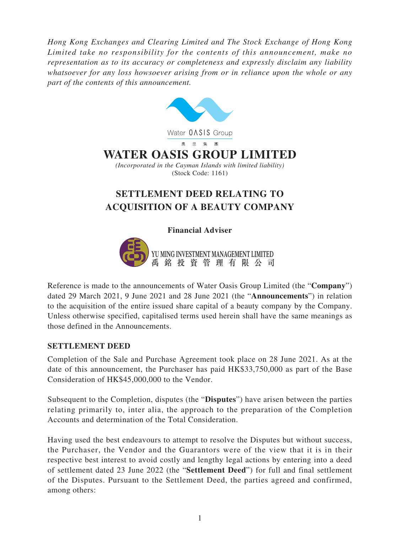*Hong Kong Exchanges and Clearing Limited and The Stock Exchange of Hong Kong Limited take no responsibility for the contents of this announcement, make no representation as to its accuracy or completeness and expressly disclaim any liability whatsoever for any loss howsoever arising from or in reliance upon the whole or any part of the contents of this announcement.*



## **Financial Adviser**



Reference is made to the announcements of Water Oasis Group Limited (the "**Company**") dated 29 March 2021, 9 June 2021 and 28 June 2021 (the "**Announcements**") in relation to the acquisition of the entire issued share capital of a beauty company by the Company. Unless otherwise specified, capitalised terms used herein shall have the same meanings as those defined in the Announcements.

## **SETTLEMENT DEED**

Completion of the Sale and Purchase Agreement took place on 28 June 2021. As at the date of this announcement, the Purchaser has paid HK\$33,750,000 as part of the Base Consideration of HK\$45,000,000 to the Vendor.

Subsequent to the Completion, disputes (the "**Disputes**") have arisen between the parties relating primarily to, inter alia, the approach to the preparation of the Completion Accounts and determination of the Total Consideration.

Having used the best endeavours to attempt to resolve the Disputes but without success, the Purchaser, the Vendor and the Guarantors were of the view that it is in their respective best interest to avoid costly and lengthy legal actions by entering into a deed of settlement dated 23 June 2022 (the "**Settlement Deed**") for full and final settlement of the Disputes. Pursuant to the Settlement Deed, the parties agreed and confirmed, among others: